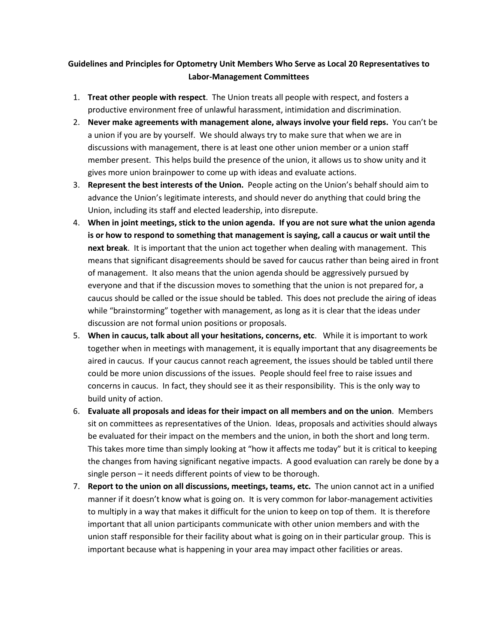## **Guidelines and Principles for Optometry Unit Members Who Serve as Local 20 Representatives to Labor-Management Committees**

- 1. **Treat other people with respect**. The Union treats all people with respect, and fosters a productive environment free of unlawful harassment, intimidation and discrimination.
- 2. **Never make agreements with management alone, always involve your field reps.** You can't be a union if you are by yourself. We should always try to make sure that when we are in discussions with management, there is at least one other union member or a union staff member present. This helps build the presence of the union, it allows us to show unity and it gives more union brainpower to come up with ideas and evaluate actions.
- 3. **Represent the best interests of the Union.** People acting on the Union's behalf should aim to advance the Union's legitimate interests, and should never do anything that could bring the Union, including its staff and elected leadership, into disrepute.
- 4. **When in joint meetings, stick to the union agenda. If you are not sure what the union agenda is or how to respond to something that management is saying, call a caucus or wait until the next break**. It is important that the union act together when dealing with management. This means that significant disagreements should be saved for caucus rather than being aired in front of management. It also means that the union agenda should be aggressively pursued by everyone and that if the discussion moves to something that the union is not prepared for, a caucus should be called or the issue should be tabled. This does not preclude the airing of ideas while "brainstorming" together with management, as long as it is clear that the ideas under discussion are not formal union positions or proposals.
- 5. **When in caucus, talk about all your hesitations, concerns, etc**. While it is important to work together when in meetings with management, it is equally important that any disagreements be aired in caucus. If your caucus cannot reach agreement, the issues should be tabled until there could be more union discussions of the issues. People should feel free to raise issues and concerns in caucus. In fact, they should see it as their responsibility. This is the only way to build unity of action.
- 6. **Evaluate all proposals and ideas for their impact on all members and on the union**. Members sit on committees as representatives of the Union. Ideas, proposals and activities should always be evaluated for their impact on the members and the union, in both the short and long term. This takes more time than simply looking at "how it affects me today" but it is critical to keeping the changes from having significant negative impacts. A good evaluation can rarely be done by a single person – it needs different points of view to be thorough.
- 7. **Report to the union on all discussions, meetings, teams, etc.** The union cannot act in a unified manner if it doesn't know what is going on. It is very common for labor-management activities to multiply in a way that makes it difficult for the union to keep on top of them. It is therefore important that all union participants communicate with other union members and with the union staff responsible for their facility about what is going on in their particular group. This is important because what is happening in your area may impact other facilities or areas.